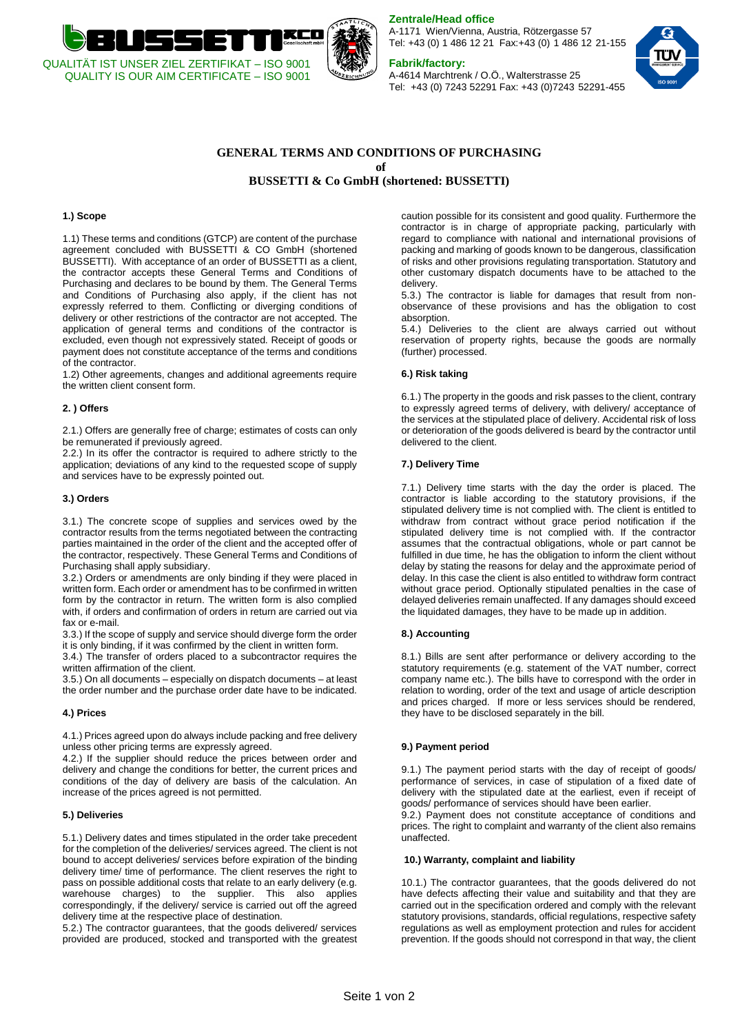

**Zentrale/Head office**

A-1171 Wien/Vienna, Austria, Rötzergasse 57 Tel: +43 (0) 1 486 12 21 Fax:+43 (0) 1 486 12 21-155

# **Fabrik/factory:**

A-4614 Marchtrenk / O.Ö., Walterstrasse 25 Tel: +43 (0) 7243 52291 Fax: +43 (0)7243 52291-455



## **GENERAL TERMS AND CONDITIONS OF PURCHASING of**

**BUSSETTI & Co GmbH (shortened: BUSSETTI)** 

## **1.) Scope**

1.1) These terms and conditions (GTCP) are content of the purchase agreement concluded with BUSSETTI & CO GmbH (shortened BUSSETTI). With acceptance of an order of BUSSETTI as a client, the contractor accepts these General Terms and Conditions of Purchasing and declares to be bound by them. The General Terms and Conditions of Purchasing also apply, if the client has not expressly referred to them. Conflicting or diverging conditions of delivery or other restrictions of the contractor are not accepted. The application of general terms and conditions of the contractor is excluded, even though not expressively stated. Receipt of goods or payment does not constitute acceptance of the terms and conditions of the contractor.

1.2) Other agreements, changes and additional agreements require the written client consent form.

### **2. ) Offers**

2.1.) Offers are generally free of charge; estimates of costs can only be remunerated if previously agreed.

2.2.) In its offer the contractor is required to adhere strictly to the application; deviations of any kind to the requested scope of supply and services have to be expressly pointed out.

#### **3.) Orders**

3.1.) The concrete scope of supplies and services owed by the contractor results from the terms negotiated between the contracting parties maintained in the order of the client and the accepted offer of the contractor, respectively. These General Terms and Conditions of Purchasing shall apply subsidiary.

3.2.) Orders or amendments are only binding if they were placed in written form. Each order or amendment has to be confirmed in written form by the contractor in return. The written form is also complied with, if orders and confirmation of orders in return are carried out via fax or e-mail.

3.3.) If the scope of supply and service should diverge form the order it is only binding, if it was confirmed by the client in written form.

3.4.) The transfer of orders placed to a subcontractor requires the written affirmation of the client.

3.5.) On all documents – especially on dispatch documents – at least the order number and the purchase order date have to be indicated.

#### **4.) Prices**

4.1.) Prices agreed upon do always include packing and free delivery unless other pricing terms are expressly agreed.

4.2.) If the supplier should reduce the prices between order and delivery and change the conditions for better, the current prices and conditions of the day of delivery are basis of the calculation. An increase of the prices agreed is not permitted.

#### **5.) Deliveries**

5.1.) Delivery dates and times stipulated in the order take precedent for the completion of the deliveries/ services agreed. The client is not bound to accept deliveries/ services before expiration of the binding delivery time/ time of performance. The client reserves the right to pass on possible additional costs that relate to an early delivery (e.g. warehouse charges) to the supplier. This also applies correspondingly, if the delivery/ service is carried out off the agreed delivery time at the respective place of destination.

5.2.) The contractor guarantees, that the goods delivered/ services provided are produced, stocked and transported with the greatest caution possible for its consistent and good quality. Furthermore the contractor is in charge of appropriate packing, particularly with regard to compliance with national and international provisions of packing and marking of goods known to be dangerous, classification of risks and other provisions regulating transportation. Statutory and other customary dispatch documents have to be attached to the delivery.

5.3.) The contractor is liable for damages that result from nonobservance of these provisions and has the obligation to cost absorption.

5.4.) Deliveries to the client are always carried out without reservation of property rights, because the goods are normally (further) processed.

#### **6.) Risk taking**

6.1.) The property in the goods and risk passes to the client, contrary to expressly agreed terms of delivery, with delivery/ acceptance of the services at the stipulated place of delivery. Accidental risk of loss or deterioration of the goods delivered is beard by the contractor until delivered to the client.

#### **7.) Delivery Time**

7.1.) Delivery time starts with the day the order is placed. The contractor is liable according to the statutory provisions, if the stipulated delivery time is not complied with. The client is entitled to withdraw from contract without grace period notification if the stipulated delivery time is not complied with. If the contractor assumes that the contractual obligations, whole or part cannot be fulfilled in due time, he has the obligation to inform the client without delay by stating the reasons for delay and the approximate period of delay. In this case the client is also entitled to withdraw form contract without grace period. Optionally stipulated penalties in the case of delayed deliveries remain unaffected. If any damages should exceed the liquidated damages, they have to be made up in addition.

#### **8.) Accounting**

8.1.) Bills are sent after performance or delivery according to the statutory requirements (e.g. statement of the VAT number, correct company name etc.). The bills have to correspond with the order in relation to wording, order of the text and usage of article description and prices charged. If more or less services should be rendered, they have to be disclosed separately in the bill.

#### **9.) Payment period**

9.1.) The payment period starts with the day of receipt of goods/ performance of services, in case of stipulation of a fixed date of delivery with the stipulated date at the earliest, even if receipt of goods/ performance of services should have been earlier.

9.2.) Payment does not constitute acceptance of conditions and prices. The right to complaint and warranty of the client also remains unaffected.

#### **10.) Warranty, complaint and liability**

10.1.) The contractor guarantees, that the goods delivered do not have defects affecting their value and suitability and that they are carried out in the specification ordered and comply with the relevant statutory provisions, standards, official regulations, respective safety regulations as well as employment protection and rules for accident prevention. If the goods should not correspond in that way, the client